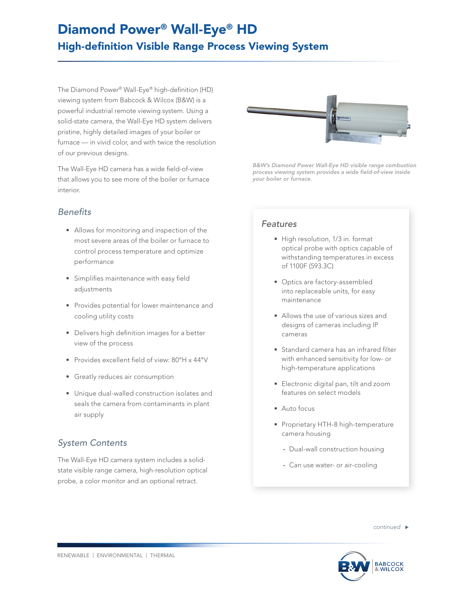# Diamond Power® Wall-Eye® HD High-definition Visible Range Process Viewing System

The Diamond Power® Wall-Eye® high-definition (HD) viewing system from Babcock & Wilcox (B&W) is a powerful industrial remote viewing system. Using a solid-state camera, the Wall-Eye HD system delivers pristine, highly detailed images of your boiler or furnace — in vivid color, and with twice the resolution of our previous designs.

The Wall-Eye HD camera has a wide field-of-view that allows you to see more of the boiler or furnace interior.

## *Benefits*

- Allows for monitoring and inspection of the most severe areas of the boiler or furnace to control process temperature and optimize performance
- Simplifies maintenance with easy field adjustments
- Provides potential for lower maintenance and cooling utility costs
- Delivers high definition images for a better view of the process
- Provides excellent field of view: 80°H x 44°V
- Greatly reduces air consumption
- Unique dual-walled construction isolates and seals the camera from contaminants in plant air supply

# *System Contents*

The Wall-Eye HD camera system includes a solidstate visible range camera, high-resolution optical probe, a color monitor and an optional retract.



*B&W's Diamond Power Wall-Eye HD visible range combustion process viewing system provides a wide field-of-view inside your boiler or furnace.*

### *Features*

- High resolution, 1/3 in. format optical probe with optics capable of withstanding temperatures in excess of 1100F (593.3C)
- Optics are factory-assembled into replaceable units, for easy maintenance
- Allows the use of various sizes and designs of cameras including IP cameras
- Standard camera has an infrared filter with enhanced sensitivity for low- or high-temperature applications
- Electronic digital pan, tilt and zoom features on select models
- Auto focus
- Proprietary HTH-8 high-temperature camera housing
	- Dual-wall construction housing
	- Can use water- or air-cooling

*continued*